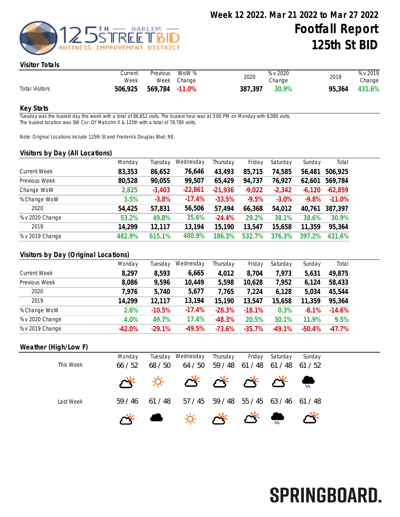

#### Visitor Totals

|                       | Current<br>Week | Previous       | WoW %<br>Week Change | 2020    | % v 2020<br>Change | 2019   | % v 2019<br>Change |
|-----------------------|-----------------|----------------|----------------------|---------|--------------------|--------|--------------------|
| <b>Total Visitors</b> | 506,925         | 569,784 -11.0% |                      | 387,397 | 30.9%              | 95,364 | 431.6%             |

#### Key Stats

Tuesday was the busiest day this week with a total of 86,652 visits. The busiest hour was at 3:00 PM on Monday with 8,080 visits. The busiest location was SW Cor. Of Malcolm X & 125th with a total of 78,780 visits.

Note: Original Locations include 125th St and Frederick Douglas Blvd; NE.

#### Visitors by Day (All Locations)

|                     | Monday | Tuesday  | Wednesday | Thursday  | Friday   | Saturday | Sunday   | Total     |
|---------------------|--------|----------|-----------|-----------|----------|----------|----------|-----------|
| <b>Current Week</b> | 83,353 | 86,652   | 76,646    | 43,493    | 85,715   | 74,585   | 56,481   | 506,925   |
| Previous Week       | 80,528 | 90,055   | 99,507    | 65,429    | 94,737   | 76,927   | 62,601   | 569,784   |
| Change WoW          | 2,825  | $-3,403$ | $-22,861$ | $-21,936$ | $-9,022$ | $-2,342$ | $-6,120$ | $-62,859$ |
| % Change WoW        | 3.5%   | $-3.8%$  | $-17.4%$  | $-33.5%$  | $-9.5%$  | $-3.0%$  | $-9.8%$  | $-11.0%$  |
| 2020                | 54,425 | 57,831   | 56,506    | 57,494    | 66,368   | 54,012   | 40,761   | 387,397   |
| % v 2020 Change     | 53.2%  | 49.8%    | 35.6%     | $-24.4%$  | 29.2%    | 38.1%    | 38.6%    | 30.9%     |
| 2019                | 14,299 | 12,117   | 13,194    | 15,190    | 13,547   | 15,658   | 11,359   | 95,364    |
| % v 2019 Change     | 482.9% | 615.1%   | 480.9%    | 186.3%    | 532.7%   | 376.3%   | 397.2%   | 431.6%    |
|                     |        |          |           |           |          |          |          |           |

## Visitors by Day (Original Locations)

|                     | Monday   | Tuesday  | Wednesday | Thursday | Friday   | Saturday | Sunday   | Total    |
|---------------------|----------|----------|-----------|----------|----------|----------|----------|----------|
| <b>Current Week</b> | 8,297    | 8,593    | 6,665     | 4,012    | 8,704    | 7,973    | 5,631    | 49,875   |
| Previous Week       | 8,086    | 9,596    | 10,449    | 5,598    | 10,628   | 7,952    | 6,124    | 58,433   |
| 2020                | 7,976    | 5,740    | 5,677     | 7,765    | 7,224    | 6,128    | 5,034    | 45,544   |
| 2019                | 14,299   | 12,117   | 13,194    | 15,190   | 13,547   | 15,658   | 11,359   | 95,364   |
| % Change WoW        | 2.6%     | $-10.5%$ | $-17.4%$  | $-28.3%$ | $-18.1%$ | 0.3%     | $-8.1%$  | $-14.6%$ |
| % v 2020 Change     | 4.0%     | 49.7%    | 17.4%     | $-48.3%$ | 20.5%    | 30.1%    | 11.9%    | 9.5%     |
| % v 2019 Change     | $-42.0%$ | $-29.1%$ | $-49.5%$  | $-73.6%$ | $-35.7%$ | $-49.1%$ | $-50.4%$ | $-47.7%$ |

#### Weather (High/Low F)

| This Week | Monday<br>66/52 | 68 / 50 | Tuesday Wednesday Thursday<br>64 / 50                                                                                                                                                                                                                                                                                                               | 59 / 48 61 / 48 | Friday | Saturday<br>$61/48$ $61/52$ | Sunday |
|-----------|-----------------|---------|-----------------------------------------------------------------------------------------------------------------------------------------------------------------------------------------------------------------------------------------------------------------------------------------------------------------------------------------------------|-----------------|--------|-----------------------------|--------|
|           |                 |         | * * * * * * * * *                                                                                                                                                                                                                                                                                                                                   |                 |        |                             |        |
| Last Week | 59 / 46         | 61 / 48 | 57 / 45 59 / 48 55 / 45 63 / 46 61 / 48                                                                                                                                                                                                                                                                                                             |                 |        |                             |        |
|           |                 |         | $\begin{picture}(20,10) \put(0,0){\line(1,0){10}} \put(15,0){\line(1,0){10}} \put(15,0){\line(1,0){10}} \put(15,0){\line(1,0){10}} \put(15,0){\line(1,0){10}} \put(15,0){\line(1,0){10}} \put(15,0){\line(1,0){10}} \put(15,0){\line(1,0){10}} \put(15,0){\line(1,0){10}} \put(15,0){\line(1,0){10}} \put(15,0){\line(1,0){10}} \put(15,0){\line(1$ |                 |        |                             |        |

# SPRINGBOARD.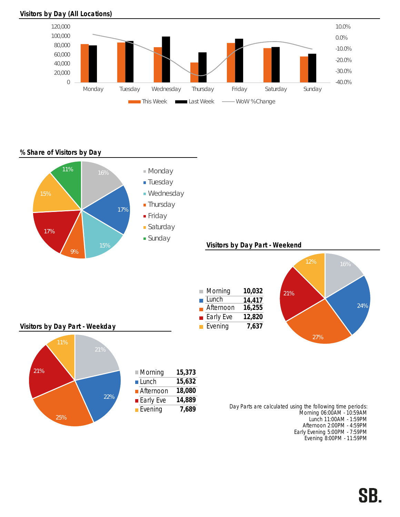

#### Visitors by Day (All Locations)

## % Share of Visitors by Day



Early Evening 5:00PM - 7:59PM Evening 8:00PM - 11:59PM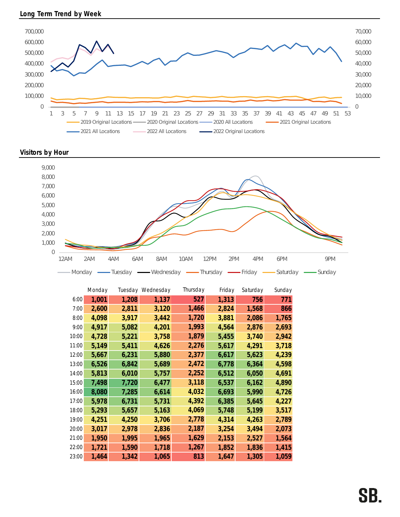

Visitors by Hour



|       | Monday |       | Tuesday Wednesday | Thursday | Friday | Saturday | Sunday |
|-------|--------|-------|-------------------|----------|--------|----------|--------|
| 6:00  | 1,001  | 1,208 | 1,137             | 527      | 1,313  | 756      | 771    |
| 7:00  | 2,600  | 2,811 | 3,120             | 1,466    | 2,824  | 1,568    | 866    |
| 8:00  | 4,098  | 3,917 | 3,442             | 1,720    | 3,881  | 2,086    | 1,765  |
| 9:00  | 4,917  | 5,082 | 4,201             | 1,993    | 4,564  | 2,876    | 2,693  |
| 10:00 | 4,728  | 5,221 | 3,758             | 1,879    | 5,455  | 3,740    | 2,942  |
| 11:00 | 5,149  | 5,411 | 4,626             | 2,276    | 5,617  | 4,291    | 3,718  |
| 12:00 | 5,667  | 6,231 | 5,880             | 2,377    | 6,617  | 5,623    | 4,239  |
| 13:00 | 6,526  | 6,842 | 5,689             | 2,472    | 6,778  | 6,364    | 4,598  |
| 14:00 | 5,813  | 6,010 | 5,757             | 2,252    | 6,512  | 6,050    | 4,691  |
| 15:00 | 7,498  | 7,720 | 6,477             | 3,118    | 6,537  | 6,162    | 4,890  |
| 16:00 | 8,080  | 7,285 | 6,614             | 4,032    | 6,693  | 5,990    | 4,726  |
| 17:00 | 5,978  | 6,731 | 5,731             | 4,392    | 6,385  | 5,645    | 4,227  |
| 18:00 | 5,293  | 5,657 | 5,163             | 4,069    | 5,748  | 5,199    | 3,517  |
| 19:00 | 4,251  | 4,250 | 3,706             | 2,778    | 4,314  | 4,263    | 2,789  |
| 20:00 | 3,017  | 2,978 | 2,836             | 2,187    | 3,254  | 3,494    | 2,073  |
| 21:00 | 1,950  | 1,995 | 1,965             | 1,629    | 2,153  | 2,527    | 1,564  |
| 22:00 | 1,721  | 1,590 | 1,718             | 1,267    | 1,852  | 1,836    | 1,415  |
| 23:00 | 1,464  | 1,342 | 1,065             | 813      | 1,647  | 1,305    | 1,059  |